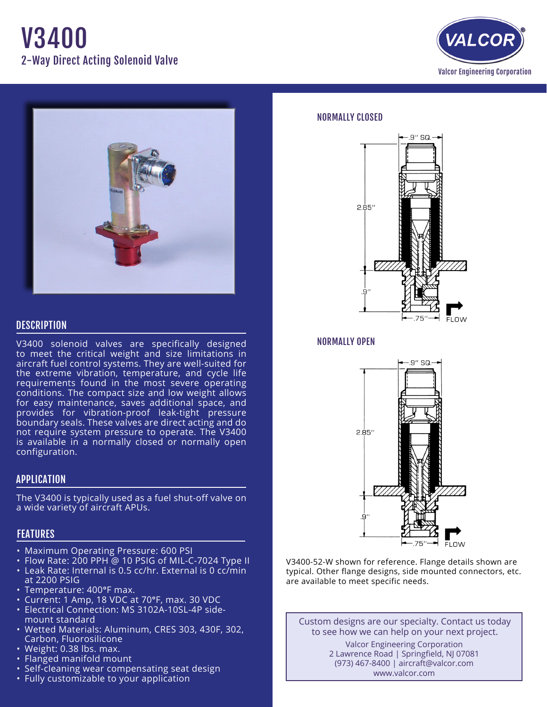# V3400 2-Way Direct Acting Solenoid Valve





## **DESCRIPTION**

V3400 solenoid valves are specifically designed to meet the critical weight and size limitations in aircraft fuel control systems. They are well-suited for the extreme vibration, temperature, and cycle life requirements found in the most severe operating conditions. The compact size and low weight allows for easy maintenance, saves additional space, and provides for vibration-proof leak-tight pressure boundary seals. These valves are direct acting and do not require system pressure to operate. The V3400 is available in a normally closed or normally open configuration.

### APPLICATION

The V3400 is typically used as a fuel shut-off valve on a wide variety of aircraft APUs.

## **FEATURES**

- Maximum Operating Pressure: 600 PSI
- Flow Rate: 200 PPH @ 10 PSIG of MIL-C-7024 Type II
- Leak Rate: Internal is 0.5 cc/hr. External is 0 cc/min at 2200 PSIG
- Temperature: 400°F max.
- Current: 1 Amp, 18 VDC at 70°F, max. 30 VDC
- Electrical Connection: MS 3102A-10SL-4P side- mount standard
- • Wetted Materials: Aluminum, CRES 303, 430F, 302, Carbon, Fluorosilicone
- Weight: 0.38 lbs. max.
- Flanged manifold mount
- Self-cleaning wear compensating seat design
- Fully customizable to your application

#### NORMALLY CLOSED



#### NORMALLY OPEN



V3400-52-W shown for reference. Flange details shown are typical. Other flange designs, side mounted connectors, etc. are available to meet specific needs.

Custom designs are our specialty. Contact us today to see how we can help on your next project.

#### Valcor Engineering Corporation 2 Lawrence Road | Springfield, NJ 07081 (973) 467-8400 | aircraft@valcor.com www.valcor.com